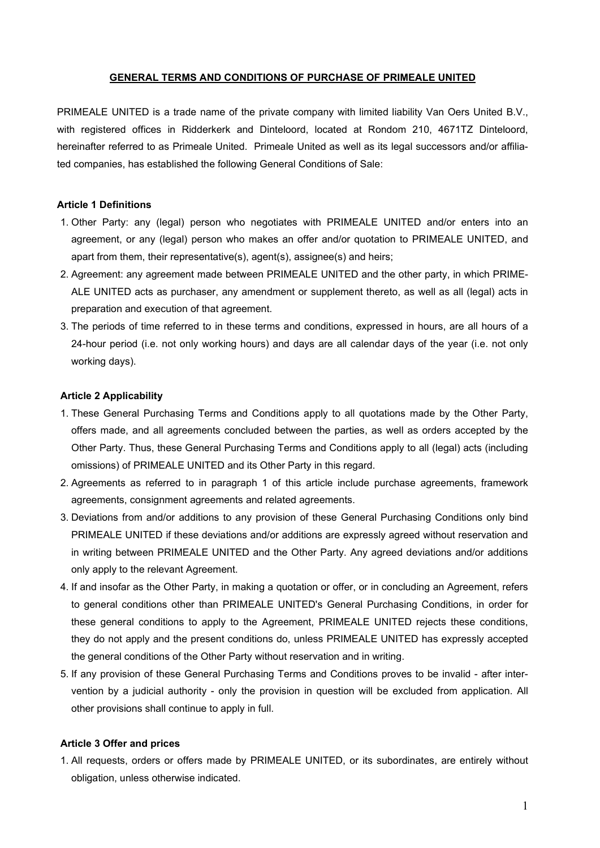## **GENERAL TERMS AND CONDITIONS OF PURCHASE OF PRIMEALE UNITED**

PRIMEALE UNITED is a trade name of the private company with limited liability Van Oers United B.V., with registered offices in Ridderkerk and Dinteloord, located at Rondom 210, 4671TZ Dinteloord, hereinafter referred to as Primeale United. Primeale United as well as its legal successors and/or affiliated companies, has established the following General Conditions of Sale:

# **Article 1 Definitions**

- 1. Other Party: any (legal) person who negotiates with PRIMEALE UNITED and/or enters into an agreement, or any (legal) person who makes an offer and/or quotation to PRIMEALE UNITED, and apart from them, their representative(s), agent(s), assignee(s) and heirs;
- 2. Agreement: any agreement made between PRIMEALE UNITED and the other party, in which PRIME-ALE UNITED acts as purchaser, any amendment or supplement thereto, as well as all (legal) acts in preparation and execution of that agreement.
- 3. The periods of time referred to in these terms and conditions, expressed in hours, are all hours of a 24-hour period (i.e. not only working hours) and days are all calendar days of the year (i.e. not only working days).

### **Article 2 Applicability**

- 1. These General Purchasing Terms and Conditions apply to all quotations made by the Other Party, offers made, and all agreements concluded between the parties, as well as orders accepted by the Other Party. Thus, these General Purchasing Terms and Conditions apply to all (legal) acts (including omissions) of PRIMEALE UNITED and its Other Party in this regard.
- 2. Agreements as referred to in paragraph 1 of this article include purchase agreements, framework agreements, consignment agreements and related agreements.
- 3. Deviations from and/or additions to any provision of these General Purchasing Conditions only bind PRIMEALE UNITED if these deviations and/or additions are expressly agreed without reservation and in writing between PRIMEALE UNITED and the Other Party. Any agreed deviations and/or additions only apply to the relevant Agreement.
- 4. If and insofar as the Other Party, in making a quotation or offer, or in concluding an Agreement, refers to general conditions other than PRIMEALE UNITED's General Purchasing Conditions, in order for these general conditions to apply to the Agreement, PRIMEALE UNITED rejects these conditions, they do not apply and the present conditions do, unless PRIMEALE UNITED has expressly accepted the general conditions of the Other Party without reservation and in writing.
- 5. If any provision of these General Purchasing Terms and Conditions proves to be invalid after intervention by a judicial authority - only the provision in question will be excluded from application. All other provisions shall continue to apply in full.

#### **Article 3 Offer and prices**

1. All requests, orders or offers made by PRIMEALE UNITED, or its subordinates, are entirely without obligation, unless otherwise indicated.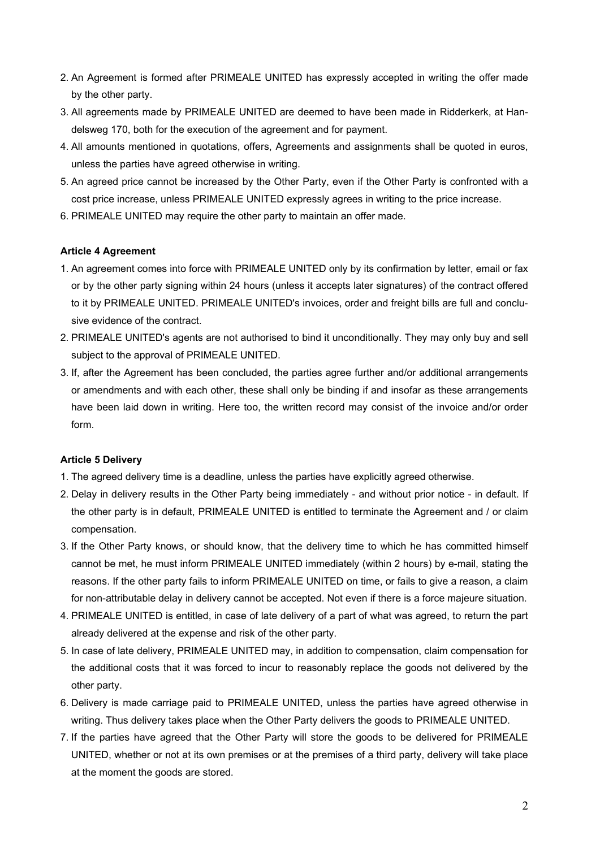- 2. An Agreement is formed after PRIMEALE UNITED has expressly accepted in writing the offer made by the other party.
- 3. All agreements made by PRIMEALE UNITED are deemed to have been made in Ridderkerk, at Handelsweg 170, both for the execution of the agreement and for payment.
- 4. All amounts mentioned in quotations, offers, Agreements and assignments shall be quoted in euros, unless the parties have agreed otherwise in writing.
- 5. An agreed price cannot be increased by the Other Party, even if the Other Party is confronted with a cost price increase, unless PRIMEALE UNITED expressly agrees in writing to the price increase.
- 6. PRIMEALE UNITED may require the other party to maintain an offer made.

## **Article 4 Agreement**

- 1. An agreement comes into force with PRIMEALE UNITED only by its confirmation by letter, email or fax or by the other party signing within 24 hours (unless it accepts later signatures) of the contract offered to it by PRIMEALE UNITED. PRIMEALE UNITED's invoices, order and freight bills are full and conclusive evidence of the contract.
- 2. PRIMEALE UNITED's agents are not authorised to bind it unconditionally. They may only buy and sell subject to the approval of PRIMEALE UNITED.
- 3. If, after the Agreement has been concluded, the parties agree further and/or additional arrangements or amendments and with each other, these shall only be binding if and insofar as these arrangements have been laid down in writing. Here too, the written record may consist of the invoice and/or order form.

## **Article 5 Delivery**

- 1. The agreed delivery time is a deadline, unless the parties have explicitly agreed otherwise.
- 2. Delay in delivery results in the Other Party being immediately and without prior notice in default. If the other party is in default, PRIMEALE UNITED is entitled to terminate the Agreement and / or claim compensation.
- 3. If the Other Party knows, or should know, that the delivery time to which he has committed himself cannot be met, he must inform PRIMEALE UNITED immediately (within 2 hours) by e-mail, stating the reasons. If the other party fails to inform PRIMEALE UNITED on time, or fails to give a reason, a claim for non-attributable delay in delivery cannot be accepted. Not even if there is a force majeure situation.
- 4. PRIMEALE UNITED is entitled, in case of late delivery of a part of what was agreed, to return the part already delivered at the expense and risk of the other party.
- 5. In case of late delivery, PRIMEALE UNITED may, in addition to compensation, claim compensation for the additional costs that it was forced to incur to reasonably replace the goods not delivered by the other party.
- 6. Delivery is made carriage paid to PRIMEALE UNITED, unless the parties have agreed otherwise in writing. Thus delivery takes place when the Other Party delivers the goods to PRIMEALE UNITED.
- 7. If the parties have agreed that the Other Party will store the goods to be delivered for PRIMEALE UNITED, whether or not at its own premises or at the premises of a third party, delivery will take place at the moment the goods are stored.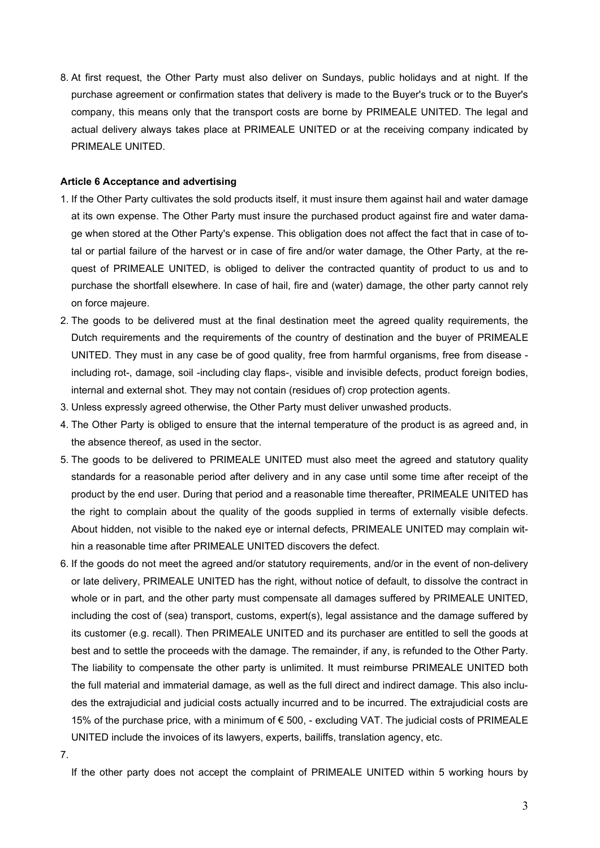8. At first request, the Other Party must also deliver on Sundays, public holidays and at night. If the purchase agreement or confirmation states that delivery is made to the Buyer's truck or to the Buyer's company, this means only that the transport costs are borne by PRIMEALE UNITED. The legal and actual delivery always takes place at PRIMEALE UNITED or at the receiving company indicated by PRIMEALE UNITED.

# **Article 6 Acceptance and advertising**

- 1. If the Other Party cultivates the sold products itself, it must insure them against hail and water damage at its own expense. The Other Party must insure the purchased product against fire and water damage when stored at the Other Party's expense. This obligation does not affect the fact that in case of total or partial failure of the harvest or in case of fire and/or water damage, the Other Party, at the request of PRIMEALE UNITED, is obliged to deliver the contracted quantity of product to us and to purchase the shortfall elsewhere. In case of hail, fire and (water) damage, the other party cannot rely on force majeure.
- 2. The goods to be delivered must at the final destination meet the agreed quality requirements, the Dutch requirements and the requirements of the country of destination and the buyer of PRIMEALE UNITED. They must in any case be of good quality, free from harmful organisms, free from disease including rot-, damage, soil -including clay flaps-, visible and invisible defects, product foreign bodies, internal and external shot. They may not contain (residues of) crop protection agents.
- 3. Unless expressly agreed otherwise, the Other Party must deliver unwashed products.
- 4. The Other Party is obliged to ensure that the internal temperature of the product is as agreed and, in the absence thereof, as used in the sector.
- 5. The goods to be delivered to PRIMEALE UNITED must also meet the agreed and statutory quality standards for a reasonable period after delivery and in any case until some time after receipt of the product by the end user. During that period and a reasonable time thereafter, PRIMEALE UNITED has the right to complain about the quality of the goods supplied in terms of externally visible defects. About hidden, not visible to the naked eye or internal defects, PRIMEALE UNITED may complain within a reasonable time after PRIMEALE UNITED discovers the defect.
- 6. If the goods do not meet the agreed and/or statutory requirements, and/or in the event of non-delivery or late delivery, PRIMEALE UNITED has the right, without notice of default, to dissolve the contract in whole or in part, and the other party must compensate all damages suffered by PRIMEALE UNITED, including the cost of (sea) transport, customs, expert(s), legal assistance and the damage suffered by its customer (e.g. recall). Then PRIMEALE UNITED and its purchaser are entitled to sell the goods at best and to settle the proceeds with the damage. The remainder, if any, is refunded to the Other Party. The liability to compensate the other party is unlimited. It must reimburse PRIMEALE UNITED both the full material and immaterial damage, as well as the full direct and indirect damage. This also includes the extrajudicial and judicial costs actually incurred and to be incurred. The extrajudicial costs are 15% of the purchase price, with a minimum of € 500, - excluding VAT. The judicial costs of PRIMEALE UNITED include the invoices of its lawyers, experts, bailiffs, translation agency, etc.

7.

If the other party does not accept the complaint of PRIMEALE UNITED within 5 working hours by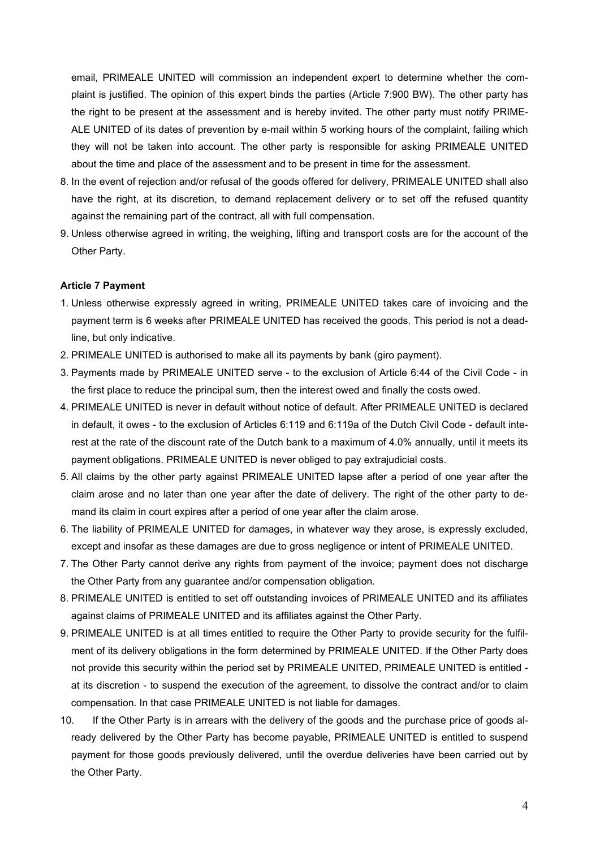email, PRIMEALE UNITED will commission an independent expert to determine whether the complaint is justified. The opinion of this expert binds the parties (Article 7:900 BW). The other party has the right to be present at the assessment and is hereby invited. The other party must notify PRIME-ALE UNITED of its dates of prevention by e-mail within 5 working hours of the complaint, failing which they will not be taken into account. The other party is responsible for asking PRIMEALE UNITED about the time and place of the assessment and to be present in time for the assessment.

- 8. In the event of rejection and/or refusal of the goods offered for delivery, PRIMEALE UNITED shall also have the right, at its discretion, to demand replacement delivery or to set off the refused quantity against the remaining part of the contract, all with full compensation.
- 9. Unless otherwise agreed in writing, the weighing, lifting and transport costs are for the account of the Other Party.

#### **Article 7 Payment**

- 1. Unless otherwise expressly agreed in writing, PRIMEALE UNITED takes care of invoicing and the payment term is 6 weeks after PRIMEALE UNITED has received the goods. This period is not a deadline, but only indicative.
- 2. PRIMEALE UNITED is authorised to make all its payments by bank (giro payment).
- 3. Payments made by PRIMEALE UNITED serve to the exclusion of Article 6:44 of the Civil Code in the first place to reduce the principal sum, then the interest owed and finally the costs owed.
- 4. PRIMEALE UNITED is never in default without notice of default. After PRIMEALE UNITED is declared in default, it owes - to the exclusion of Articles 6:119 and 6:119a of the Dutch Civil Code - default interest at the rate of the discount rate of the Dutch bank to a maximum of 4.0% annually, until it meets its payment obligations. PRIMEALE UNITED is never obliged to pay extrajudicial costs.
- 5. All claims by the other party against PRIMEALE UNITED lapse after a period of one year after the claim arose and no later than one year after the date of delivery. The right of the other party to demand its claim in court expires after a period of one year after the claim arose.
- 6. The liability of PRIMEALE UNITED for damages, in whatever way they arose, is expressly excluded, except and insofar as these damages are due to gross negligence or intent of PRIMEALE UNITED.
- 7. The Other Party cannot derive any rights from payment of the invoice; payment does not discharge the Other Party from any guarantee and/or compensation obligation.
- 8. PRIMEALE UNITED is entitled to set off outstanding invoices of PRIMEALE UNITED and its affiliates against claims of PRIMEALE UNITED and its affiliates against the Other Party.
- 9. PRIMEALE UNITED is at all times entitled to require the Other Party to provide security for the fulfilment of its delivery obligations in the form determined by PRIMEALE UNITED. If the Other Party does not provide this security within the period set by PRIMEALE UNITED, PRIMEALE UNITED is entitled at its discretion - to suspend the execution of the agreement, to dissolve the contract and/or to claim compensation. In that case PRIMEALE UNITED is not liable for damages.
- 10. If the Other Party is in arrears with the delivery of the goods and the purchase price of goods already delivered by the Other Party has become payable, PRIMEALE UNITED is entitled to suspend payment for those goods previously delivered, until the overdue deliveries have been carried out by the Other Party.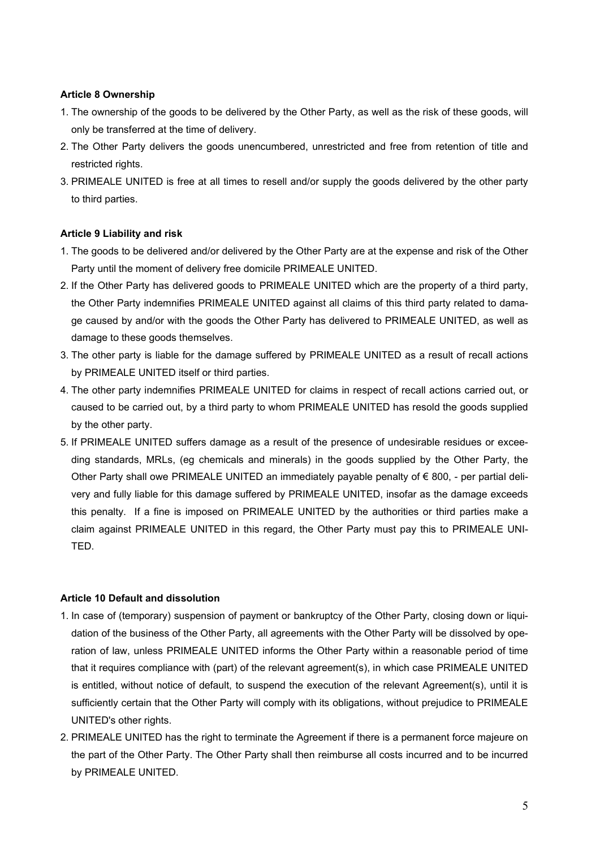# **Article 8 Ownership**

- 1. The ownership of the goods to be delivered by the Other Party, as well as the risk of these goods, will only be transferred at the time of delivery.
- 2. The Other Party delivers the goods unencumbered, unrestricted and free from retention of title and restricted rights.
- 3. PRIMEALE UNITED is free at all times to resell and/or supply the goods delivered by the other party to third parties.

## **Article 9 Liability and risk**

- 1. The goods to be delivered and/or delivered by the Other Party are at the expense and risk of the Other Party until the moment of delivery free domicile PRIMEALE UNITED.
- 2. If the Other Party has delivered goods to PRIMEALE UNITED which are the property of a third party, the Other Party indemnifies PRIMEALE UNITED against all claims of this third party related to damage caused by and/or with the goods the Other Party has delivered to PRIMEALE UNITED, as well as damage to these goods themselves.
- 3. The other party is liable for the damage suffered by PRIMEALE UNITED as a result of recall actions by PRIMEALE UNITED itself or third parties.
- 4. The other party indemnifies PRIMEALE UNITED for claims in respect of recall actions carried out, or caused to be carried out, by a third party to whom PRIMEALE UNITED has resold the goods supplied by the other party.
- 5. If PRIMEALE UNITED suffers damage as a result of the presence of undesirable residues or exceeding standards, MRLs, (eg chemicals and minerals) in the goods supplied by the Other Party, the Other Party shall owe PRIMEALE UNITED an immediately payable penalty of  $\epsilon$  800, - per partial delivery and fully liable for this damage suffered by PRIMEALE UNITED, insofar as the damage exceeds this penalty. If a fine is imposed on PRIMEALE UNITED by the authorities or third parties make a claim against PRIMEALE UNITED in this regard, the Other Party must pay this to PRIMEALE UNI-TED.

## **Article 10 Default and dissolution**

- 1. In case of (temporary) suspension of payment or bankruptcy of the Other Party, closing down or liquidation of the business of the Other Party, all agreements with the Other Party will be dissolved by operation of law, unless PRIMEALE UNITED informs the Other Party within a reasonable period of time that it requires compliance with (part) of the relevant agreement(s), in which case PRIMEALE UNITED is entitled, without notice of default, to suspend the execution of the relevant Agreement(s), until it is sufficiently certain that the Other Party will comply with its obligations, without prejudice to PRIMEALE UNITED's other rights.
- 2. PRIMEALE UNITED has the right to terminate the Agreement if there is a permanent force majeure on the part of the Other Party. The Other Party shall then reimburse all costs incurred and to be incurred by PRIMEALE UNITED.